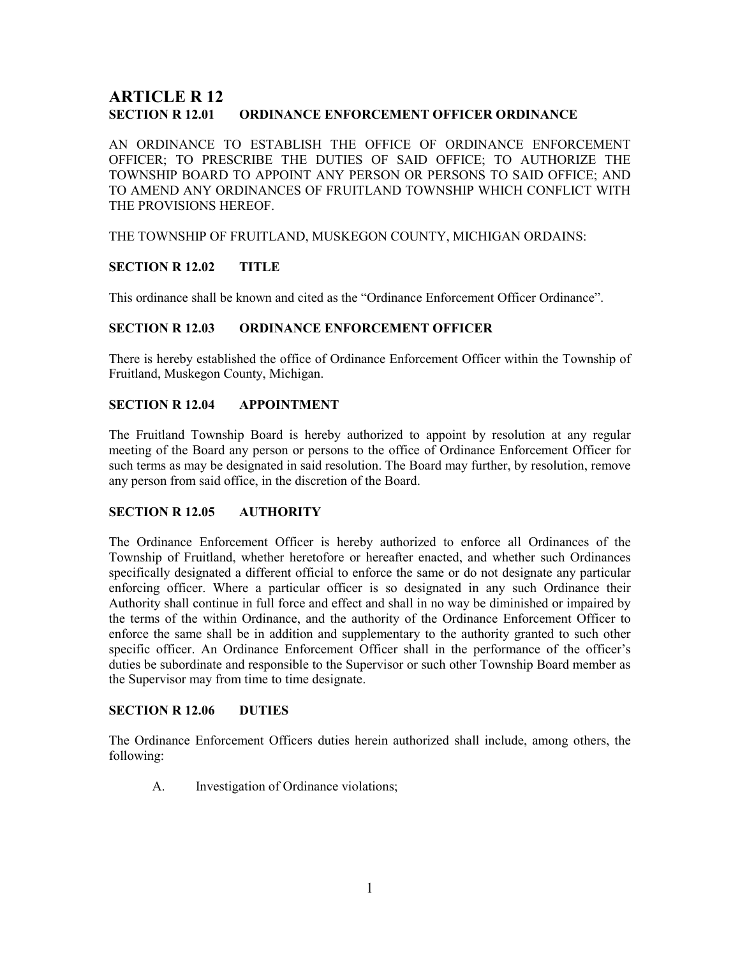# ARTICLE R 12 SECTION R 12.01 ORDINANCE ENFORCEMENT OFFICER ORDINANCE

AN ORDINANCE TO ESTABLISH THE OFFICE OF ORDINANCE ENFORCEMENT OFFICER; TO PRESCRIBE THE DUTIES OF SAID OFFICE; TO AUTHORIZE THE TOWNSHIP BOARD TO APPOINT ANY PERSON OR PERSONS TO SAID OFFICE; AND TO AMEND ANY ORDINANCES OF FRUITLAND TOWNSHIP WHICH CONFLICT WITH THE PROVISIONS HEREOF.

THE TOWNSHIP OF FRUITLAND, MUSKEGON COUNTY, MICHIGAN ORDAINS:

## SECTION R 12.02 TITLE

This ordinance shall be known and cited as the "Ordinance Enforcement Officer Ordinance".

#### SECTION R 12.03 ORDINANCE ENFORCEMENT OFFICER

There is hereby established the office of Ordinance Enforcement Officer within the Township of Fruitland, Muskegon County, Michigan.

#### SECTION R 12.04 APPOINTMENT

The Fruitland Township Board is hereby authorized to appoint by resolution at any regular meeting of the Board any person or persons to the office of Ordinance Enforcement Officer for such terms as may be designated in said resolution. The Board may further, by resolution, remove any person from said office, in the discretion of the Board.

#### SECTION R 12.05 AUTHORITY

The Ordinance Enforcement Officer is hereby authorized to enforce all Ordinances of the Township of Fruitland, whether heretofore or hereafter enacted, and whether such Ordinances specifically designated a different official to enforce the same or do not designate any particular enforcing officer. Where a particular officer is so designated in any such Ordinance their Authority shall continue in full force and effect and shall in no way be diminished or impaired by the terms of the within Ordinance, and the authority of the Ordinance Enforcement Officer to enforce the same shall be in addition and supplementary to the authority granted to such other specific officer. An Ordinance Enforcement Officer shall in the performance of the officer's duties be subordinate and responsible to the Supervisor or such other Township Board member as the Supervisor may from time to time designate.

#### SECTION R 12.06 DUTIES

The Ordinance Enforcement Officers duties herein authorized shall include, among others, the following:

A. Investigation of Ordinance violations;